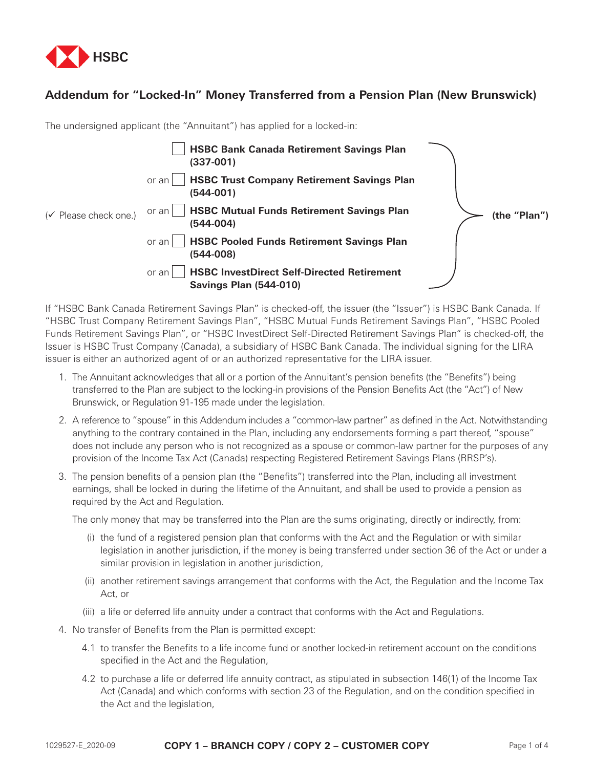

## **Addendum for "Locked-In" Money Transferred from a Pension Plan (New Brunswick)**

The undersigned applicant (the "Annuitant") has applied for a locked-in:

|                                   | <b>HSBC Bank Canada Retirement Savings Plan</b><br>$(337-001)$                              |              |
|-----------------------------------|---------------------------------------------------------------------------------------------|--------------|
|                                   | <b>HSBC Trust Company Retirement Savings Plan</b><br>or an<br>(544-001)                     |              |
| $(\checkmark)$ Please check one.) | <b>HSBC Mutual Funds Retirement Savings Plan</b><br>or an l<br>(544-004)                    | (the "Plan") |
|                                   | <b>HSBC Pooled Funds Retirement Savings Plan</b><br>or an<br>(544-008)                      |              |
|                                   | <b>HSBC InvestDirect Self-Directed Retirement</b><br>or an<br><b>Savings Plan (544-010)</b> |              |

If "HSBC Bank Canada Retirement Savings Plan" is checked-off, the issuer (the "Issuer") is HSBC Bank Canada. If "HSBC Trust Company Retirement Savings Plan", "HSBC Mutual Funds Retirement Savings Plan", "HSBC Pooled Funds Retirement Savings Plan", or "HSBC InvestDirect Self-Directed Retirement Savings Plan" is checked-off, the Issuer is HSBC Trust Company (Canada), a subsidiary of HSBC Bank Canada. The individual signing for the LIRA issuer is either an authorized agent of or an authorized representative for the LIRA issuer.

- 1. The Annuitant acknowledges that all or a portion of the Annuitant's pension benefits (the "Benefits") being transferred to the Plan are subject to the locking-in provisions of the Pension Benefits Act (the "Act") of New Brunswick, or Regulation 91-195 made under the legislation.
- 2. A reference to "spouse" in this Addendum includes a "common-law partner" as defined in the Act. Notwithstanding anything to the contrary contained in the Plan, including any endorsements forming a part thereof, "spouse" does not include any person who is not recognized as a spouse or common-law partner for the purposes of any provision of the Income Tax Act (Canada) respecting Registered Retirement Savings Plans (RRSP's).
- 3. The pension benefits of a pension plan (the "Benefits") transferred into the Plan, including all investment earnings, shall be locked in during the lifetime of the Annuitant, and shall be used to provide a pension as required by the Act and Regulation.

The only money that may be transferred into the Plan are the sums originating, directly or indirectly, from:

- (i) the fund of a registered pension plan that conforms with the Act and the Regulation or with similar legislation in another jurisdiction, if the money is being transferred under section 36 of the Act or under a similar provision in legislation in another jurisdiction,
- (ii) another retirement savings arrangement that conforms with the Act, the Regulation and the Income Tax Act, or
- (iii) a life or deferred life annuity under a contract that conforms with the Act and Regulations.
- 4. No transfer of Benefits from the Plan is permitted except:
	- 4.1 to transfer the Benefits to a life income fund or another locked-in retirement account on the conditions specified in the Act and the Regulation,
	- 4.2 to purchase a life or deferred life annuity contract, as stipulated in subsection 146(1) of the Income Tax Act (Canada) and which conforms with section 23 of the Regulation, and on the condition specified in the Act and the legislation,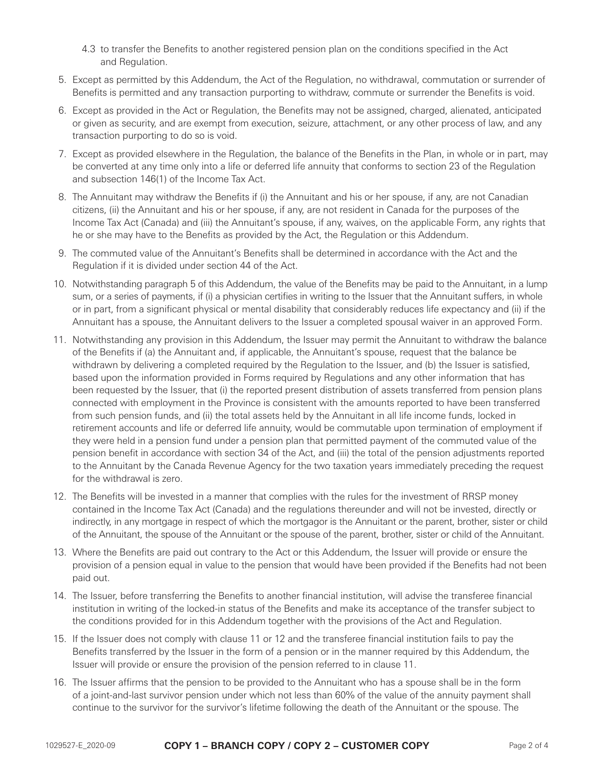- 4.3 to transfer the Benefits to another registered pension plan on the conditions specified in the Act and Regulation.
- 5. Except as permitted by this Addendum, the Act of the Regulation, no withdrawal, commutation or surrender of Benefits is permitted and any transaction purporting to withdraw, commute or surrender the Benefits is void.
- 6. Except as provided in the Act or Regulation, the Benefits may not be assigned, charged, alienated, anticipated or given as security, and are exempt from execution, seizure, attachment, or any other process of law, and any transaction purporting to do so is void.
- 7. Except as provided elsewhere in the Regulation, the balance of the Benefits in the Plan, in whole or in part, may be converted at any time only into a life or deferred life annuity that conforms to section 23 of the Regulation and subsection 146(1) of the Income Tax Act.
- 8. The Annuitant may withdraw the Benefits if (i) the Annuitant and his or her spouse, if any, are not Canadian citizens, (ii) the Annuitant and his or her spouse, if any, are not resident in Canada for the purposes of the Income Tax Act (Canada) and (iii) the Annuitant's spouse, if any, waives, on the applicable Form, any rights that he or she may have to the Benefits as provided by the Act, the Regulation or this Addendum.
- 9. The commuted value of the Annuitant's Benefits shall be determined in accordance with the Act and the Regulation if it is divided under section 44 of the Act.
- 10. Notwithstanding paragraph 5 of this Addendum, the value of the Benefits may be paid to the Annuitant, in a lump sum, or a series of payments, if (i) a physician certifies in writing to the Issuer that the Annuitant suffers, in whole or in part, from a significant physical or mental disability that considerably reduces life expectancy and (ii) if the Annuitant has a spouse, the Annuitant delivers to the Issuer a completed spousal waiver in an approved Form.
- 11. Notwithstanding any provision in this Addendum, the Issuer may permit the Annuitant to withdraw the balance of the Benefits if (a) the Annuitant and, if applicable, the Annuitant's spouse, request that the balance be withdrawn by delivering a completed required by the Regulation to the Issuer, and (b) the Issuer is satisfied, based upon the information provided in Forms required by Regulations and any other information that has been requested by the Issuer, that (i) the reported present distribution of assets transferred from pension plans connected with employment in the Province is consistent with the amounts reported to have been transferred from such pension funds, and (ii) the total assets held by the Annuitant in all life income funds, locked in retirement accounts and life or deferred life annuity, would be commutable upon termination of employment if they were held in a pension fund under a pension plan that permitted payment of the commuted value of the pension benefit in accordance with section 34 of the Act, and (iii) the total of the pension adjustments reported to the Annuitant by the Canada Revenue Agency for the two taxation years immediately preceding the request for the withdrawal is zero.
- 12. The Benefits will be invested in a manner that complies with the rules for the investment of RRSP money contained in the Income Tax Act (Canada) and the regulations thereunder and will not be invested, directly or indirectly, in any mortgage in respect of which the mortgagor is the Annuitant or the parent, brother, sister or child of the Annuitant, the spouse of the Annuitant or the spouse of the parent, brother, sister or child of the Annuitant.
- 13. Where the Benefits are paid out contrary to the Act or this Addendum, the Issuer will provide or ensure the provision of a pension equal in value to the pension that would have been provided if the Benefits had not been paid out.
- 14. The Issuer, before transferring the Benefits to another financial institution, will advise the transferee financial institution in writing of the locked-in status of the Benefits and make its acceptance of the transfer subject to the conditions provided for in this Addendum together with the provisions of the Act and Regulation.
- 15. If the Issuer does not comply with clause 11 or 12 and the transferee financial institution fails to pay the Benefits transferred by the Issuer in the form of a pension or in the manner required by this Addendum, the Issuer will provide or ensure the provision of the pension referred to in clause 11.
- 16. The Issuer affirms that the pension to be provided to the Annuitant who has a spouse shall be in the form of a joint-and-last survivor pension under which not less than 60% of the value of the annuity payment shall continue to the survivor for the survivor's lifetime following the death of the Annuitant or the spouse. The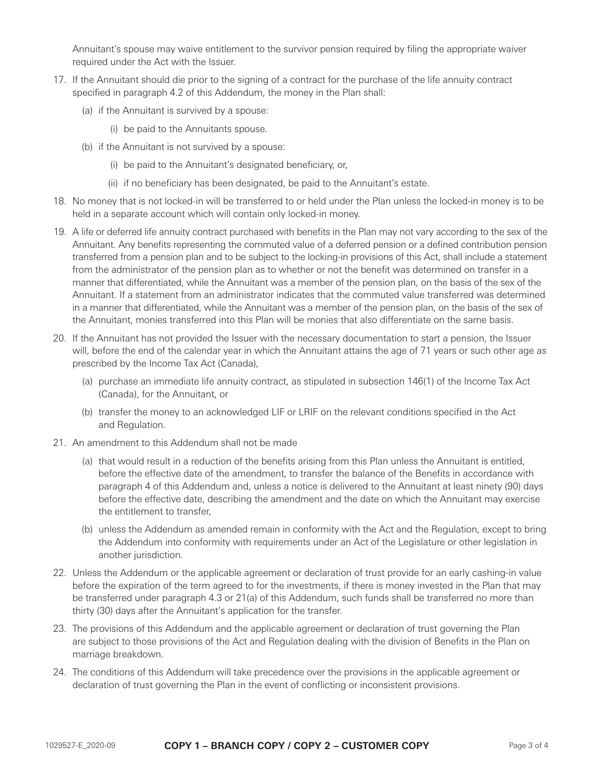Annuitant's spouse may waive entitlement to the survivor pension required by filing the appropriate waiver required under the Act with the Issuer.

- 17. If the Annuitant should die prior to the signing of a contract for the purchase of the life annuity contract specified in paragraph 4.2 of this Addendum, the money in the Plan shall:
	- (a) if the Annuitant is survived by a spouse:
		- (i) be paid to the Annuitants spouse.
	- (b) if the Annuitant is not survived by a spouse:
		- (i) be paid to the Annuitant's designated beneficiary, or,
		- (ii) if no beneficiary has been designated, be paid to the Annuitant's estate.
- 18. No money that is not locked-in will be transferred to or held under the Plan unless the locked-in money is to be held in a separate account which will contain only locked-in money.
- 19. A life or deferred life annuity contract purchased with benefits in the Plan may not vary according to the sex of the Annuitant. Any benefits representing the commuted value of a deferred pension or a defined contribution pension transferred from a pension plan and to be subject to the locking-in provisions of this Act, shall include a statement from the administrator of the pension plan as to whether or not the benefit was determined on transfer in a manner that differentiated, while the Annuitant was a member of the pension plan, on the basis of the sex of the Annuitant. If a statement from an administrator indicates that the commuted value transferred was determined in a manner that differentiated, while the Annuitant was a member of the pension plan, on the basis of the sex of the Annuitant, monies transferred into this Plan will be monies that also differentiate on the same basis.
- 20. If the Annuitant has not provided the Issuer with the necessary documentation to start a pension, the Issuer will, before the end of the calendar year in which the Annuitant attains the age of 71 years or such other age as prescribed by the Income Tax Act (Canada),
	- (a) purchase an immediate life annuity contract, as stipulated in subsection 146(1) of the Income Tax Act (Canada), for the Annuitant, or
	- (b) transfer the money to an acknowledged LIF or LRIF on the relevant conditions specified in the Act and Regulation.
- 21. An amendment to this Addendum shall not be made
	- (a) that would result in a reduction of the benefits arising from this Plan unless the Annuitant is entitled, before the effective date of the amendment, to transfer the balance of the Benefits in accordance with paragraph 4 of this Addendum and, unless a notice is delivered to the Annuitant at least ninety (90) days before the effective date, describing the amendment and the date on which the Annuitant may exercise the entitlement to transfer,
	- (b) unless the Addendum as amended remain in conformity with the Act and the Regulation, except to bring the Addendum into conformity with requirements under an Act of the Legislature or other legislation in another jurisdiction.
- 22. Unless the Addendum or the applicable agreement or declaration of trust provide for an early cashing-in value before the expiration of the term agreed to for the investments, if there is money invested in the Plan that may be transferred under paragraph 4.3 or 21(a) of this Addendum, such funds shall be transferred no more than thirty (30) days after the Annuitant's application for the transfer.
- 23. The provisions of this Addendum and the applicable agreement or declaration of trust governing the Plan are subject to those provisions of the Act and Regulation dealing with the division of Benefits in the Plan on marriage breakdown.
- 24. The conditions of this Addendum will take precedence over the provisions in the applicable agreement or declaration of trust governing the Plan in the event of conflicting or inconsistent provisions.